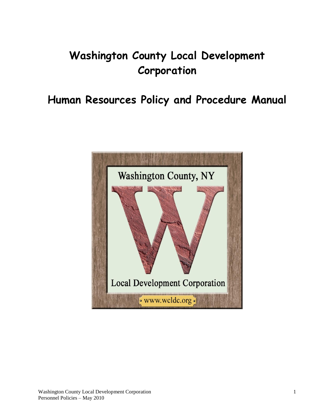# **Washington County Local Development Corporation**

**Human Resources Policy and Procedure Manual**

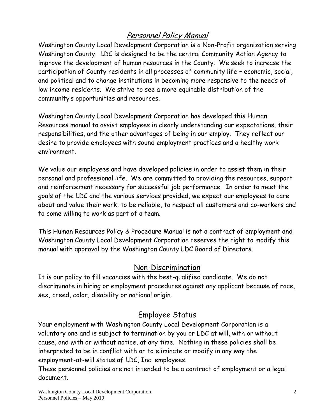# Personnel Policy Manual

Washington County Local Development Corporation is a Non-Profit organization serving Washington County. LDC is designed to be the central Community Action Agency to improve the development of human resources in the County. We seek to increase the participation of County residents in all processes of community life – economic, social, and political and to change institutions in becoming more responsive to the needs of low income residents. We strive to see a more equitable distribution of the community's opportunities and resources.

Washington County Local Development Corporation has developed this Human Resources manual to assist employees in clearly understanding our expectations, their responsibilities, and the other advantages of being in our employ. They reflect our desire to provide employees with sound employment practices and a healthy work environment.

We value our employees and have developed policies in order to assist them in their personal and professional life. We are committed to providing the resources, support and reinforcement necessary for successful job performance. In order to meet the goals of the LDC and the various services provided, we expect our employees to care about and value their work, to be reliable, to respect all customers and co-workers and to come willing to work as part of a team.

This Human Resources Policy & Procedure Manual is not a contract of employment and Washington County Local Development Corporation reserves the right to modify this manual with approval by the Washington County LDC Board of Directors.

### Non-Discrimination

It is our policy to fill vacancies with the best-qualified candidate. We do not discriminate in hiring or employment procedures against any applicant because of race, sex, creed, color, disability or national origin.

# Employee Status

Your employment with Washington County Local Development Corporation is a voluntary one and is subject to termination by you or LDC at will, with or without cause, and with or without notice, at any time. Nothing in these policies shall be interpreted to be in conflict with or to eliminate or modify in any way the employment-at-will status of LDC, Inc. employees.

These personnel policies are not intended to be a contract of employment or a legal document.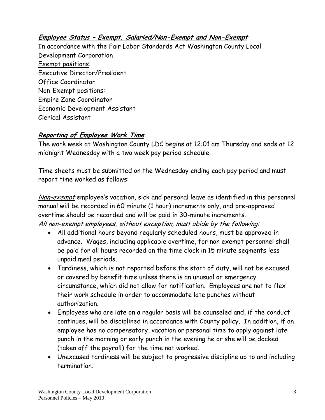### **Employee Status – Exempt, Salaried/Non-Exempt and Non-Exempt**

In accordance with the Fair Labor Standards Act Washington County Local Development Corporation Exempt positions: Executive Director/President Office Coordinator Non-Exempt positions: Empire Zone Coordinator Economic Development Assistant Clerical Assistant

### **Reporting of Employee Work Time**

The work week at Washington County LDC begins at 12:01 am Thursday and ends at 12 midnight Wednesday with a two week pay period schedule.

Time sheets must be submitted on the Wednesday ending each pay period and must report time worked as follows:

Non-exempt employee's vacation, sick and personal leave as identified in this personnel manual will be recorded in 60 minute (1 hour) increments only, and pre-approved overtime should be recorded and will be paid in 30-minute increments. All non-exempt employees, without exception, must abide by the following:

- All additional hours beyond regularly scheduled hours, must be approved in advance. Wages, including applicable overtime, for non exempt personnel shall be paid for all hours recorded on the time clock in 15 minute segments less unpaid meal periods.
- Tardiness, which is not reported before the start of duty, will not be excused or covered by benefit time unless there is an unusual or emergency circumstance, which did not allow for notification. Employees are not to flex their work schedule in order to accommodate late punches without authorization.
- Employees who are late on a regular basis will be counseled and, if the conduct continues, will be disciplined in accordance with County policy. In addition, if an employee has no compensatory, vacation or personal time to apply against late punch in the morning or early punch in the evening he or she will be docked (taken off the payroll) for the time not worked.
- Unexcused tardiness will be subject to progressive discipline up to and including termination.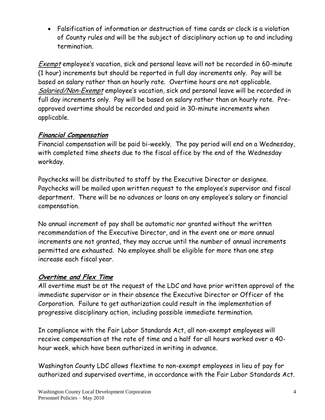Falsification of information or destruction of time cards or clock is a violation of County rules and will be the subject of disciplinary action up to and including termination.

Exempt employee's vacation, sick and personal leave will not be recorded in 60-minute (1 hour) increments but should be reported in full day increments only. Pay will be based on salary rather than an hourly rate. Overtime hours are not applicable. Salaried/Non-Exempt employee's vacation, sick and personal leave will be recorded in full day increments only. Pay will be based on salary rather than an hourly rate. Preapproved overtime should be recorded and paid in 30-minute increments when applicable.

### **Financial Compensation**

Financial compensation will be paid bi-weekly. The pay period will end on a Wednesday, with completed time sheets due to the fiscal office by the end of the Wednesday workday.

Paychecks will be distributed to staff by the Executive Director or designee. Paychecks will be mailed upon written request to the employee's supervisor and fiscal department. There will be no advances or loans on any employee's salary or financial compensation.

No annual increment of pay shall be automatic nor granted without the written recommendation of the Executive Director, and in the event one or more annual increments are not granted, they may accrue until the number of annual increments permitted are exhausted. No employee shall be eligible for more than one step increase each fiscal year.

### **Overtime and Flex Time**

All overtime must be at the request of the LDC and have prior written approval of the immediate supervisor or in their absence the Executive Director or Officer of the Corporation. Failure to get authorization could result in the implementation of progressive disciplinary action, including possible immediate termination.

In compliance with the Fair Labor Standards Act, all non-exempt employees will receive compensation at the rate of time and a half for all hours worked over a 40 hour week, which have been authorized in writing in advance.

Washington County LDC allows flextime to non-exempt employees in lieu of pay for authorized and supervised overtime, in accordance with the Fair Labor Standards Act.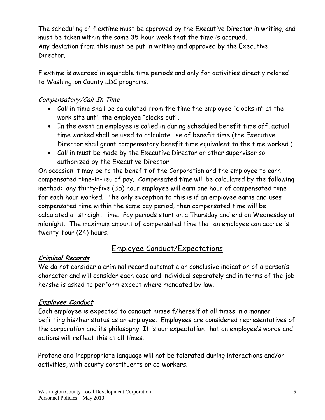The scheduling of flextime must be approved by the Executive Director in writing, and must be taken within the same 35-hour week that the time is accrued. Any deviation from this must be put in writing and approved by the Executive Director.

Flextime is awarded in equitable time periods and only for activities directly related to Washington County LDC programs.

### Compensatory/Call-In Time

- Call in time shall be calculated from the time the employee "clocks in" at the work site until the employee "clocks out".
- In the event an employee is called in during scheduled benefit time off, actual time worked shall be used to calculate use of benefit time (the Executive Director shall grant compensatory benefit time equivalent to the time worked.)
- Call in must be made by the Executive Director or other supervisor so authorized by the Executive Director.

On occasion it may be to the benefit of the Corporation and the employee to earn compensated time-in-lieu of pay. Compensated time will be calculated by the following method: any thirty-five (35) hour employee will earn one hour of compensated time for each hour worked. The only exception to this is if an employee earns and uses compensated time within the same pay period, then compensated time will be calculated at straight time. Pay periods start on a Thursday and end on Wednesday at midnight. The maximum amount of compensated time that an employee can accrue is twenty-four (24) hours.

# Employee Conduct/Expectations

#### **Criminal Records**

We do not consider a criminal record automatic or conclusive indication of a person's character and will consider each case and individual separately and in terms of the job he/she is asked to perform except where mandated by law.

#### **Employee Conduct**

Each employee is expected to conduct himself/herself at all times in a manner befitting his/her status as an employee. Employees are considered representatives of the corporation and its philosophy. It is our expectation that an employee's words and actions will reflect this at all times.

Profane and inappropriate language will not be tolerated during interactions and/or activities, with county constituents or co-workers.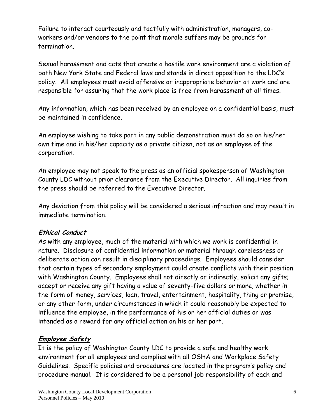Failure to interact courteously and tactfully with administration, managers, coworkers and/or vendors to the point that morale suffers may be grounds for termination.

Sexual harassment and acts that create a hostile work environment are a violation of both New York State and Federal laws and stands in direct opposition to the LDC's policy. All employees must avoid offensive or inappropriate behavior at work and are responsible for assuring that the work place is free from harassment at all times.

Any information, which has been received by an employee on a confidential basis, must be maintained in confidence.

An employee wishing to take part in any public demonstration must do so on his/her own time and in his/her capacity as a private citizen, not as an employee of the corporation.

An employee may not speak to the press as an official spokesperson of Washington County LDC without prior clearance from the Executive Director. All inquiries from the press should be referred to the Executive Director.

Any deviation from this policy will be considered a serious infraction and may result in immediate termination.

### **Ethical Conduct**

As with any employee, much of the material with which we work is confidential in nature. Disclosure of confidential information or material through carelessness or deliberate action can result in disciplinary proceedings. Employees should consider that certain types of secondary employment could create conflicts with their position with Washington County. Employees shall not directly or indirectly, solicit any gifts; accept or receive any gift having a value of seventy-five dollars or more, whether in the form of money, services, loan, travel, entertainment, hospitality, thing or promise, or any other form, under circumstances in which it could reasonably be expected to influence the employee, in the performance of his or her official duties or was intended as a reward for any official action on his or her part.

### **Employee Safety**

It is the policy of Washington County LDC to provide a safe and healthy work environment for all employees and complies with all OSHA and Workplace Safety Guidelines. Specific policies and procedures are located in the program's policy and procedure manual. It is considered to be a personal job responsibility of each and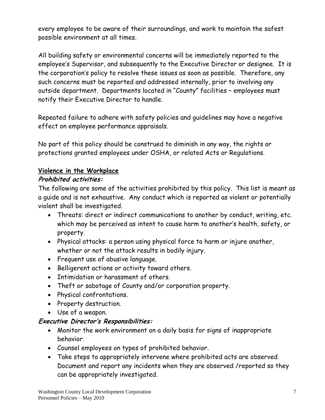every employee to be aware of their surroundings, and work to maintain the safest possible environment at all times.

All building safety or environmental concerns will be immediately reported to the employee's Supervisor, and subsequently to the Executive Director or designee. It is the corporation's policy to resolve these issues as soon as possible. Therefore, any such concerns must be reported and addressed internally, prior to involving any outside department. Departments located in "County" facilities – employees must notify their Executive Director to handle.

Repeated failure to adhere with safety policies and guidelines may have a negative effect on employee performance appraisals.

No part of this policy should be construed to diminish in any way, the rights or protections granted employees under OSHA, or related Acts or Regulations.

### **Violence in the Workplace**

### **Prohibited activities:**

The following are some of the activities prohibited by this policy. This list is meant as a guide and is not exhaustive. Any conduct which is reported as violent or potentially violent shall be investigated.

- Threats: direct or indirect communications to another by conduct, writing, etc. which may be perceived as intent to cause harm to another's health, safety, or property.
- Physical attacks: a person using physical force to harm or injure another, whether or not the attack results in bodily injury.
- Frequent use of abusive language.
- Belligerent actions or activity toward others.
- Intimidation or harassment of others.
- Theft or sabotage of County and/or corporation property.
- Physical confrontations.
- Property destruction.
- Use of a weapon.

### **Executive Director's Responsibilities:**

- Monitor the work environment on a daily basis for signs of inappropriate behavior.
- Counsel employees on types of prohibited behavior.
- Take steps to appropriately intervene where prohibited acts are observed. Document and report any incidents when they are observed /reported so they can be appropriately investigated.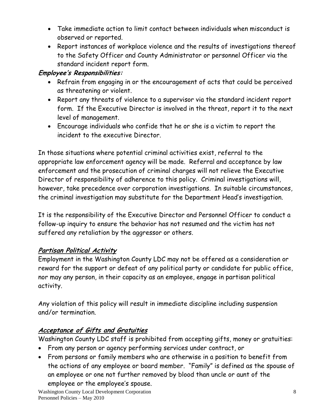- Take immediate action to limit contact between individuals when misconduct is observed or reported.
- Report instances of workplace violence and the results of investigations thereof to the Safety Officer and County Administrator or personnel Officer via the standard incident report form.

### **Employee's Responsibilities:**

- Refrain from engaging in or the encouragement of acts that could be perceived as threatening or violent.
- Report any threats of violence to a supervisor via the standard incident report form. If the Executive Director is involved in the threat, report it to the next level of management.
- Encourage individuals who confide that he or she is a victim to report the incident to the executive Director.

In those situations where potential criminal activities exist, referral to the appropriate law enforcement agency will be made. Referral and acceptance by law enforcement and the prosecution of criminal charges will not relieve the Executive Director of responsibility of adherence to this policy. Criminal investigations will, however, take precedence over corporation investigations. In suitable circumstances, the criminal investigation may substitute for the Department Head's investigation.

It is the responsibility of the Executive Director and Personnel Officer to conduct a follow-up inquiry to ensure the behavior has not resumed and the victim has not suffered any retaliation by the aggressor or others.

### **Partisan Political Activity**

Employment in the Washington County LDC may not be offered as a consideration or reward for the support or defeat of any political party or candidate for public office, nor may any person, in their capacity as an employee, engage in partisan political activity.

Any violation of this policy will result in immediate discipline including suspension and/or termination.

### **Acceptance of Gifts and Gratuities**

Washington County LDC staff is prohibited from accepting gifts, money or gratuities:

- From any person or agency performing services under contract, or
- From persons or family members who are otherwise in a position to benefit from the actions of any employee or board member. "Family" is defined as the spouse of an employee or one not further removed by blood than uncle or aunt of the employee or the employee's spouse.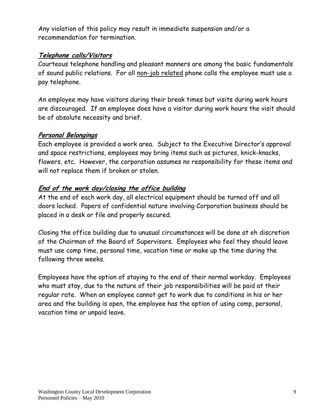Any violation of this policy may result in immediate suspension and/or a recommendation for termination.

#### **Telephone calls/Visitors**

Courteous telephone handling and pleasant manners are among the basic fundamentals of sound public relations. For all non-job related phone calls the employee must use a pay telephone.

An employee may have visitors during their break times but visits during work hours are discouraged. If an employee does have a visitor during work hours the visit should be of absolute necessity and brief.

#### **Personal Belongings**

Each employee is provided a work area. Subject to the Executive Director's approval and space restrictions, employees may bring items such as pictures, knick-knacks, flowers, etc. However, the corporation assumes no responsibility for these items and will not replace them if broken or stolen.

#### **End of the work day/closing the office building**

At the end of each work day, all electrical equipment should be turned off and all doors locked. Papers of confidential nature involving Corporation business should be placed in a desk or file and properly secured.

Closing the office building due to unusual circumstances will be done at eh discretion of the Chairman of the Board of Supervisors. Employees who feel they should leave must use comp time, personal time, vacation time or make up the time during the following three weeks.

Employees have the option of staying to the end of their normal workday. Employees who must stay, due to the nature of their job responsibilities will be paid at their regular rate. When an employee cannot get to work due to conditions in his or her area and the building is open, the employee has the option of using comp, personal, vacation time or unpaid leave.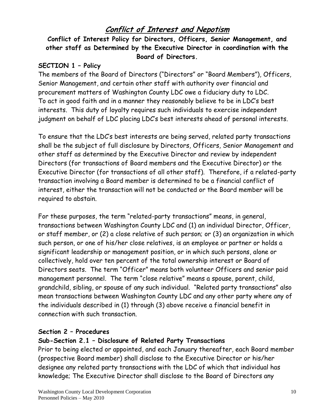# **Conflict of Interest and Nepotism**

### **Conflict of Interest Policy for Directors, Officers, Senior Management, and other staff as Determined by the Executive Director in coordination with the Board of Directors.**

#### **SECTION 1 – Policy**

The members of the Board of Directors ("Directors" or "Board Members"), Officers, Senior Management, and certain other staff with authority over financial and procurement matters of Washington County LDC owe a fiduciary duty to LDC. To act in good faith and in a manner they reasonably believe to be in LDC's best interests. This duty of loyalty requires such individuals to exercise independent judgment on behalf of LDC placing LDC's best interests ahead of personal interests.

To ensure that the LDC's best interests are being served, related party transactions shall be the subject of full disclosure by Directors, Officers, Senior Management and other staff as determined by the Executive Director and review by independent Directors (for transactions of Board members and the Executive Director) or the Executive Director (for transactions of all other staff). Therefore, if a related-party transaction involving a Board member is determined to be a financial conflict of interest, either the transaction will not be conducted or the Board member will be required to abstain.

For these purposes, the term "related-party transactions" means, in general, transactions between Washington County LDC and (1) an individual Director, Officer, or staff member, or (2) a close relative of such person; or (3) an organization in which such person, or one of his/her close relatives, is an employee or partner or holds a significant leadership or management position, or in which such persons, alone or collectively, hold over ten percent of the total ownership interest or Board of Directors seats. The term "Officer" means both volunteer Officers and senior paid management personnel. The term "close relative" means a spouse, parent, child, grandchild, sibling, or spouse of any such individual. "Related party transactions" also mean transactions between Washington County LDC and any other party where any of the individuals described in (1) through (3) above receive a financial benefit in connection with such transaction.

#### **Section 2 – Procedures**

#### **Sub-Section 2.1 – Disclosure of Related Party Transactions**

Prior to being elected or appointed, and each January thereafter, each Board member (prospective Board member) shall disclose to the Executive Director or his/her designee any related party transactions with the LDC of which that individual has knowledge; The Executive Director shall disclose to the Board of Directors any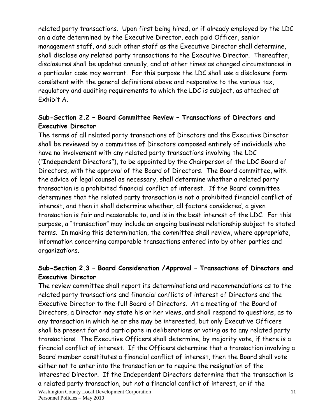related party transactions. Upon first being hired, or if already employed by the LDC on a date determined by the Executive Director, each paid Officer, senior management staff, and such other staff as the Executive Director shall determine, shall disclose any related party transactions to the Executive Director. Thereafter, disclosures shall be updated annually, and at other times as changed circumstances in a particular case may warrant. For this purpose the LDC shall use a disclosure form consistent with the general definitions above and responsive to the various tax, regulatory and auditing requirements to which the LDC is subject, as attached at Exhibit A.

### **Sub-Section 2.2 – Board Committee Review – Transactions of Directors and Executive Director**

The terms of all related party transactions of Directors and the Executive Director shall be reviewed by a committee of Directors composed entirely of individuals who have no involvement with any related party transactions involving the LDC ("Independent Directors"), to be appointed by the Chairperson of the LDC Board of Directors, with the approval of the Board of Directors. The Board committee, with the advice of legal counsel as necessary, shall determine whether a related party transaction is a prohibited financial conflict of interest. If the Board committee determines that the related party transaction is not a prohibited financial conflict of interest, and then it shall determine whether, all factors considered, a given transaction is fair and reasonable to, and is in the best interest of the LDC. For this purpose, a "transaction" may include an ongoing business relationship subject to stated terms. In making this determination, the committee shall review, where appropriate, information concerning comparable transactions entered into by other parties and organizations.

### **Sub-Section 2.3 – Board Consideration /Approval – Transactions of Directors and Executive Director**

Washington County Local Development Corporation 11 The review committee shall report its determinations and recommendations as to the related party transactions and financial conflicts of interest of Directors and the Executive Director to the full Board of Directors. At a meeting of the Board of Directors, a Director may state his or her views, and shall respond to questions, as to any transaction in which he or she may be interested, but only Executive Officers shall be present for and participate in deliberations or voting as to any related party transactions. The Executive Officers shall determine, by majority vote, if there is a financial conflict of interest. If the Officers determine that a transaction involving a Board member constitutes a financial conflict of interest, then the Board shall vote either not to enter into the transaction or to require the resignation of the interested Director. If the Independent Directors determine that the transaction is a related party transaction, but not a financial conflict of interest, or if the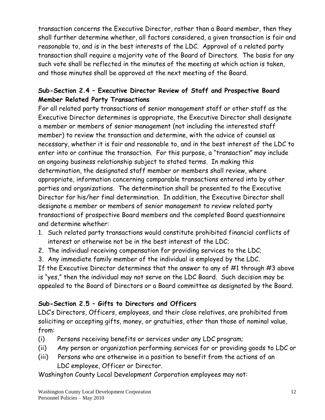transaction concerns the Executive Director, rather than a Board member, then they shall further determine whether, all factors considered, a given transaction is fair and reasonable to, and is in the best interests of the LDC. Approval of a related party transaction shall require a majority vote of the Board of Directors. The basis for any such vote shall be reflected in the minutes of the meeting at which action is taken, and those minutes shall be approved at the next meeting of the Board.

### **Sub-Section 2.4 – Executive Director Review of Staff and Prospective Board Member Related Party Transactions**

For all related party transactions of senior management staff or other staff as the Executive Director determines is appropriate, the Executive Director shall designate a member or members of senior management (not including the interested staff member) to review the transaction and determine, with the advice of counsel as necessary, whether it is fair and reasonable to, and in the best interest of the LDC to enter into or continue the transaction. For this purpose, a "transaction" may include an ongoing business relationship subject to stated terms. In making this determination, the designated staff member or members shall review, where appropriate, information concerning comparable transactions entered into by other parties and organizations. The determination shall be presented to the Executive Director for his/her final determination. In addition, the Executive Director shall designate a member or members of senior management to review related party transactions of prospective Board members and the completed Board questionnaire and determine whether:

- 1. Such related party transactions would constitute prohibited financial conflicts of interest or otherwise not be in the best interest of the LDC;
- 2. The individual receiving compensation for providing services to the LDC;
- 3. Any immediate family member of the individual is employed by the LDC.

If the Executive Director determines that the answer to any of #1 through #3 above is "yes," then the individual may not serve on the LDC Board. Such decision may be appealed to the Board of Directors or a Board committee as designated by the Board.

### **Sub-Section 2.5 – Gifts to Directors and Officers**

LDC's Directors, Officers, employees, and their close relatives, are prohibited from soliciting or accepting gifts, money, or gratuities, other than those of nominal value, from:

- (i) Persons receiving benefits or services under any LDC program;
- (ii) Any person or organization performing services for or providing goods to LDC or
- (iii) Persons who are otherwise in a position to benefit from the actions of an LDC employee, Officer or Director.

Washington County Local Development Corporation employees may not: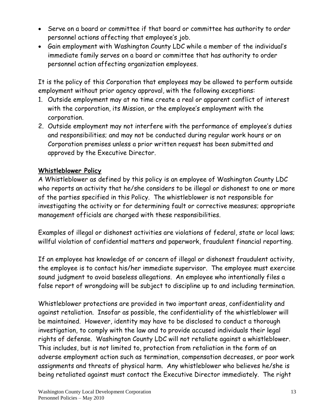- Serve on a board or committee if that board or committee has authority to order personnel actions affecting that employee's job.
- Gain employment with Washington County LDC while a member of the individual's immediate family serves on a board or committee that has authority to order personnel action affecting organization employees.

It is the policy of this Corporation that employees may be allowed to perform outside employment without prior agency approval, with the following exceptions:

- 1. Outside employment may at no time create a real or apparent conflict of interest with the corporation, its Mission, or the employee's employment with the corporation.
- 2. Outside employment may not interfere with the performance of employee's duties and responsibilities; and may not be conducted during regular work hours or on Corporation premises unless a prior written request has been submitted and approved by the Executive Director.

#### **Whistleblower Policy**

A Whistleblower as defined by this policy is an employee of Washington County LDC who reports an activity that he/she considers to be illegal or dishonest to one or more of the parties specified in this Policy. The whistleblower is not responsible for investigating the activity or for determining fault or corrective measures; appropriate management officials are charged with these responsibilities.

Examples of illegal or dishonest activities are violations of federal, state or local laws; willful violation of confidential matters and paperwork, fraudulent financial reporting.

If an employee has knowledge of or concern of illegal or dishonest fraudulent activity, the employee is to contact his/her immediate supervisor. The employee must exercise sound judgment to avoid baseless allegations. An employee who intentionally files a false report of wrongdoing will be subject to discipline up to and including termination.

Whistleblower protections are provided in two important areas, confidentiality and against retaliation. Insofar as possible, the confidentiality of the whistleblower will be maintained. However, identity may have to be disclosed to conduct a thorough investigation, to comply with the law and to provide accused individuals their legal rights of defense. Washington County LDC will not retaliate against a whistleblower. This includes, but is not limited to, protection from retaliation in the form of an adverse employment action such as termination, compensation decreases, or poor work assignments and threats of physical harm. Any whistleblower who believes he/she is being retaliated against must contact the Executive Director immediately. The right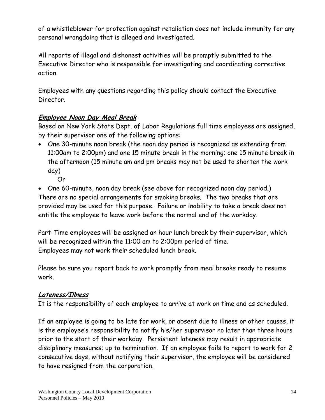of a whistleblower for protection against retaliation does not include immunity for any personal wrongdoing that is alleged and investigated.

All reports of illegal and dishonest activities will be promptly submitted to the Executive Director who is responsible for investigating and coordinating corrective action.

Employees with any questions regarding this policy should contact the Executive Director.

### **Employee Noon Day Meal Break**

Based on New York State Dept. of Labor Regulations full time employees are assigned, by their supervisor one of the following options:

- One 30-minute noon break (the noon day period is recognized as extending from 11:00am to 2:00pm) and one 15 minute break in the morning; one 15 minute break in the afternoon (15 minute am and pm breaks may not be used to shorten the work day)
	- Or

 One 60-minute, noon day break (see above for recognized noon day period.) There are no special arrangements for smoking breaks. The two breaks that are provided may be used for this purpose. Failure or inability to take a break does not entitle the employee to leave work before the normal end of the workday.

Part-Time employees will be assigned an hour lunch break by their supervisor, which will be recognized within the 11:00 am to 2:00pm period of time. Employees may not work their scheduled lunch break.

Please be sure you report back to work promptly from meal breaks ready to resume work.

### **Lateness/Illness**

It is the responsibility of each employee to arrive at work on time and as scheduled.

If an employee is going to be late for work, or absent due to illness or other causes, it is the employee's responsibility to notify his/her supervisor no later than three hours prior to the start of their workday. Persistent lateness may result in appropriate disciplinary measures; up to termination. If an employee fails to report to work for 2 consecutive days, without notifying their supervisor, the employee will be considered to have resigned from the corporation.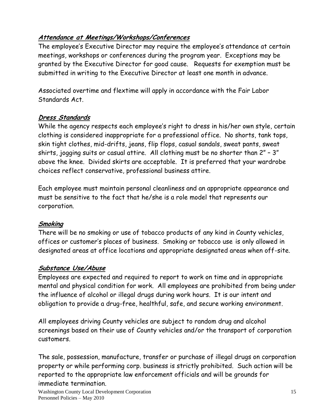### **Attendance at Meetings/Workshops/Conferences**

The employee's Executive Director may require the employee's attendance at certain meetings, workshops or conferences during the program year. Exceptions may be granted by the Executive Director for good cause. Requests for exemption must be submitted in writing to the Executive Director at least one month in advance.

Associated overtime and flextime will apply in accordance with the Fair Labor Standards Act.

### **Dress Standards**

While the agency respects each employee's right to dress in his/her own style, certain clothing is considered inappropriate for a professional office. No shorts, tank tops, skin tight clothes, mid-drifts, jeans, flip flops, casual sandals, sweat pants, sweat shirts, jogging suits or casual attire. All clothing must be no shorter than 2" – 3" above the knee. Divided skirts are acceptable. It is preferred that your wardrobe choices reflect conservative, professional business attire.

Each employee must maintain personal cleanliness and an appropriate appearance and must be sensitive to the fact that he/she is a role model that represents our corporation.

### **Smoking**

There will be no smoking or use of tobacco products of any kind in County vehicles, offices or customer's places of business. Smoking or tobacco use is only allowed in designated areas at office locations and appropriate designated areas when off-site.

### **Substance Use/Abuse**

Employees are expected and required to report to work on time and in appropriate mental and physical condition for work. All employees are prohibited from being under the influence of alcohol or illegal drugs during work hours. It is our intent and obligation to provide a drug-free, healthful, safe, and secure working environment.

All employees driving County vehicles are subject to random drug and alcohol screenings based on their use of County vehicles and/or the transport of corporation customers.

The sale, possession, manufacture, transfer or purchase of illegal drugs on corporation property or while performing corp. business is strictly prohibited. Such action will be reported to the appropriate law enforcement officials and will be grounds for immediate termination.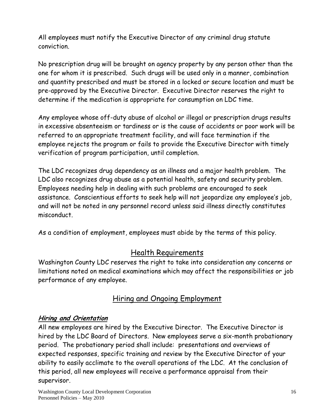All employees must notify the Executive Director of any criminal drug statute conviction.

No prescription drug will be brought on agency property by any person other than the one for whom it is prescribed. Such drugs will be used only in a manner, combination and quantity prescribed and must be stored in a locked or secure location and must be pre-approved by the Executive Director. Executive Director reserves the right to determine if the medication is appropriate for consumption on LDC time.

Any employee whose off-duty abuse of alcohol or illegal or prescription drugs results in excessive absenteeism or tardiness or is the cause of accidents or poor work will be referred to an appropriate treatment facility, and will face termination if the employee rejects the program or fails to provide the Executive Director with timely verification of program participation, until completion.

The LDC recognizes drug dependency as an illness and a major health problem. The LDC also recognizes drug abuse as a potential health, safety and security problem. Employees needing help in dealing with such problems are encouraged to seek assistance. Conscientious efforts to seek help will not jeopardize any employee's job, and will not be noted in any personnel record unless said illness directly constitutes misconduct.

As a condition of employment, employees must abide by the terms of this policy.

### Health Requirements

Washington County LDC reserves the right to take into consideration any concerns or limitations noted on medical examinations which may affect the responsibilities or job performance of any employee.

### Hiring and Ongoing Employment

#### **Hiring and Orientation**

All new employees are hired by the Executive Director. The Executive Director is hired by the LDC Board of Directors. New employees serve a six-month probationary period. The probationary period shall include: presentations and overviews of expected responses, specific training and review by the Executive Director of your ability to easily acclimate to the overall operations of the LDC. At the conclusion of this period, all new employees will receive a performance appraisal from their supervisor.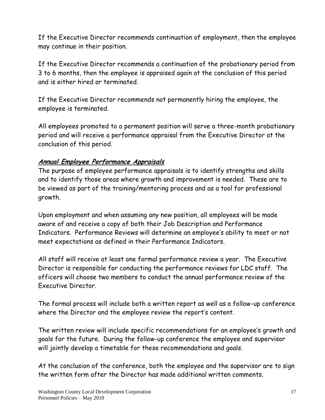If the Executive Director recommends continuation of employment, then the employee may continue in their position.

If the Executive Director recommends a continuation of the probationary period from 3 to 6 months, then the employee is appraised again at the conclusion of this period and is either hired or terminated.

If the Executive Director recommends not permanently hiring the employee, the employee is terminated.

All employees promoted to a permanent position will serve a three-month probationary period and will receive a performance appraisal from the Executive Director at the conclusion of this period.

### **Annual Employee Performance Appraisals**

The purpose of employee performance appraisals is to identify strengths and skills and to identify those areas where growth and improvement is needed. These are to be viewed as part of the training/mentoring process and as a tool for professional growth.

Upon employment and when assuming any new position, all employees will be made aware of and receive a copy of both their Job Description and Performance Indicators. Performance Reviews will determine an employee's ability to meet or not meet expectations as defined in their Performance Indicators.

All staff will receive at least one formal performance review a year. The Executive Director is responsible for conducting the performance reviews for LDC staff. The officers will choose two members to conduct the annual performance review of the Executive Director.

The formal process will include both a written report as well as a follow-up conference where the Director and the employee review the report's content.

The written review will include specific recommendations for an employee's growth and goals for the future. During the follow-up conference the employee and supervisor will jointly develop a timetable for these recommendations and goals.

At the conclusion of the conference, both the employee and the supervisor are to sign the written form after the Director has made additional written comments.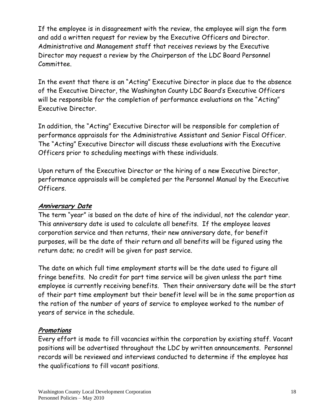If the employee is in disagreement with the review, the employee will sign the form and add a written request for review by the Executive Officers and Director. Administrative and Management staff that receives reviews by the Executive Director may request a review by the Chairperson of the LDC Board Personnel Committee.

In the event that there is an "Acting" Executive Director in place due to the absence of the Executive Director, the Washington County LDC Board's Executive Officers will be responsible for the completion of performance evaluations on the "Acting" Executive Director.

In addition, the "Acting" Executive Director will be responsible for completion of performance appraisals for the Administrative Assistant and Senior Fiscal Officer. The "Acting" Executive Director will discuss these evaluations with the Executive Officers prior to scheduling meetings with these individuals.

Upon return of the Executive Director or the hiring of a new Executive Director, performance appraisals will be completed per the Personnel Manual by the Executive Officers.

### **Anniversary Date**

The term "year" is based on the date of hire of the individual, not the calendar year. This anniversary date is used to calculate all benefits. If the employee leaves corporation service and then returns, their new anniversary date, for benefit purposes, will be the date of their return and all benefits will be figured using the return date; no credit will be given for past service.

The date on which full time employment starts will be the date used to figure all fringe benefits. No credit for part time service will be given unless the part time employee is currently receiving benefits. Then their anniversary date will be the start of their part time employment but their benefit level will be in the same proportion as the ration of the number of years of service to employee worked to the number of years of service in the schedule.

### **Promotions**

Every effort is made to fill vacancies within the corporation by existing staff. Vacant positions will be advertised throughout the LDC by written announcements. Personnel records will be reviewed and interviews conducted to determine if the employee has the qualifications to fill vacant positions.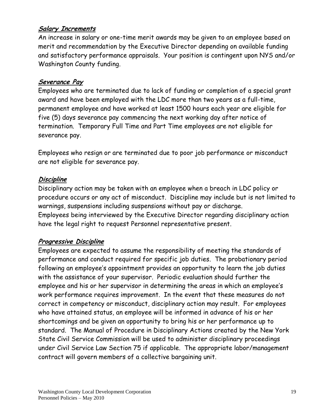### **Salary Increments**

An increase in salary or one-time merit awards may be given to an employee based on merit and recommendation by the Executive Director depending on available funding and satisfactory performance appraisals. Your position is contingent upon NYS and/or Washington County funding.

### **Severance Pay**

Employees who are terminated due to lack of funding or completion of a special grant award and have been employed with the LDC more than two years as a full-time, permanent employee and have worked at least 1500 hours each year are eligible for five (5) days severance pay commencing the next working day after notice of termination. Temporary Full Time and Part Time employees are not eligible for severance pay.

Employees who resign or are terminated due to poor job performance or misconduct are not eligible for severance pay.

### **Discipline**

Disciplinary action may be taken with an employee when a breach in LDC policy or procedure occurs or any act of misconduct. Discipline may include but is not limited to warnings, suspensions including suspensions without pay or discharge. Employees being interviewed by the Executive Director regarding disciplinary action have the legal right to request Personnel representative present.

### **Progressive Discipline**

Employees are expected to assume the responsibility of meeting the standards of performance and conduct required for specific job duties. The probationary period following an employee's appointment provides an opportunity to learn the job duties with the assistance of your supervisor. Periodic evaluation should further the employee and his or her supervisor in determining the areas in which an employee's work performance requires improvement. In the event that these measures do not correct in competency or misconduct, disciplinary action may result. For employees who have attained status, an employee will be informed in advance of his or her shortcomings and be given an opportunity to bring his or her performance up to standard. The Manual of Procedure in Disciplinary Actions created by the New York State Civil Service Commission will be used to administer disciplinary proceedings under Civil Service Law Section 75 if applicable. The appropriate labor/management contract will govern members of a collective bargaining unit.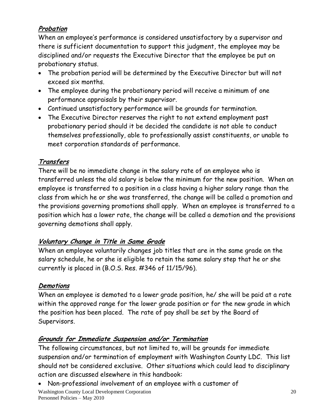### **Probation**

When an employee's performance is considered unsatisfactory by a supervisor and there is sufficient documentation to support this judgment, the employee may be disciplined and/or requests the Executive Director that the employee be put on probationary status.

- The probation period will be determined by the Executive Director but will not exceed six months.
- The employee during the probationary period will receive a minimum of one performance appraisals by their supervisor.
- Continued unsatisfactory performance will be grounds for termination.
- The Executive Director reserves the right to not extend employment past probationary period should it be decided the candidate is not able to conduct themselves professionally, able to professionally assist constituents, or unable to meet corporation standards of performance.

### **Transfers**

There will be no immediate change in the salary rate of an employee who is transferred unless the old salary is below the minimum for the new position. When an employee is transferred to a position in a class having a higher salary range than the class from which he or she was transferred, the change will be called a promotion and the provisions governing promotions shall apply. When an employee is transferred to a position which has a lower rate, the change will be called a demotion and the provisions governing demotions shall apply.

### **Voluntary Change in Title in Same Grade**

When an employee voluntarily changes job titles that are in the same grade on the salary schedule, he or she is eligible to retain the same salary step that he or she currently is placed in (B.O.S. Res. #346 of 11/15/96).

### **Demotions**

When an employee is demoted to a lower grade position, he/ she will be paid at a rate within the approved range for the lower grade position or for the new grade in which the position has been placed. The rate of pay shall be set by the Board of Supervisors.

### **Grounds for Immediate Suspension and/or Termination**

The following circumstances, but not limited to, will be grounds for immediate suspension and/or termination of employment with Washington County LDC. This list should not be considered exclusive. Other situations which could lead to disciplinary action are discussed elsewhere in this handbook:

Washington County Local Development Corporation Personnel Policies – May 2010 Non-professional involvement of an employee with a customer of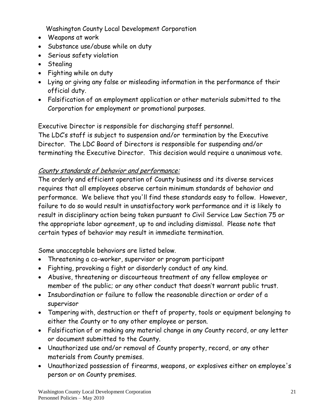Washington County Local Development Corporation

- Weapons at work
- Substance use/abuse while on duty
- Serious safety violation
- Stealing
- Fighting while on duty
- Lying or giving any false or misleading information in the performance of their official duty.
- Falsification of an employment application or other materials submitted to the Corporation for employment or promotional purposes.

Executive Director is responsible for discharging staff personnel.

The LDC's staff is subject to suspension and/or termination by the Executive Director. The LDC Board of Directors is responsible for suspending and/or terminating the Executive Director. This decision would require a unanimous vote.

# County standards of behavior and performance:

The orderly and efficient operation of County business and its diverse services requires that all employees observe certain minimum standards of behavior and performance. We believe that you'll find these standards easy to follow. However, failure to do so would result in unsatisfactory work performance and it is likely to result in disciplinary action being taken pursuant to Civil Service Law Section 75 or the appropriate labor agreement, up to and including dismissal. Please note that certain types of behavior may result in immediate termination.

Some unacceptable behaviors are listed below.

- Threatening a co-worker, supervisor or program participant
- Fighting, provoking a fight or disorderly conduct of any kind.
- Abusive, threatening or discourteous treatment of any fellow employee or member of the public; or any other conduct that doesn't warrant public trust.
- Insubordination or failure to follow the reasonable direction or order of a supervisor
- Tampering with, destruction or theft of property, tools or equipment belonging to either the County or to any other employee or person.
- Falsification of or making any material change in any County record, or any letter or document submitted to the County.
- Unauthorized use and/or removal of County property, record, or any other materials from County premises.
- Unauthorized possession of firearms, weapons, or explosives either on employee's person or on County premises.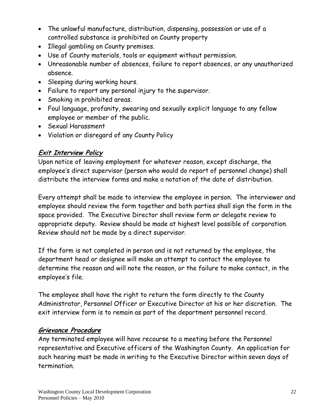- The unlawful manufacture, distribution, dispensing, possession or use of a controlled substance is prohibited on County property
- Illegal gambling on County premises.
- Use of County materials, tools or equipment without permission.
- Unreasonable number of absences, failure to report absences, or any unauthorized absence.
- Sleeping during working hours.
- Failure to report any personal injury to the supervisor.
- Smoking in prohibited areas.
- Foul language, profanity, swearing and sexually explicit language to any fellow employee or member of the public.
- Sexual Harassment
- Violation or disregard of any County Policy

### **Exit Interview Policy**

Upon notice of leaving employment for whatever reason, except discharge, the employee's direct supervisor (person who would do report of personnel change) shall distribute the interview forms and make a notation of the date of distribution.

Every attempt shall be made to interview the employee in person. The interviewer and employee should review the form together and both parties shall sign the form in the space provided. The Executive Director shall review form or delegate review to appropriate deputy. Review should be made at highest level possible of corporation. Review should not be made by a direct supervisor.

If the form is not completed in person and is not returned by the employee, the department head or designee will make an attempt to contact the employee to determine the reason and will note the reason, or the failure to make contact, in the employee's file.

The employee shall have the right to return the form directly to the County Administrator, Personnel Officer or Executive Director at his or her discretion. The exit interview form is to remain as part of the department personnel record.

### **Grievance Procedure**

Any terminated employee will have recourse to a meeting before the Personnel representative and Executive officers of the Washington County. An application for such hearing must be made in writing to the Executive Director within seven days of termination.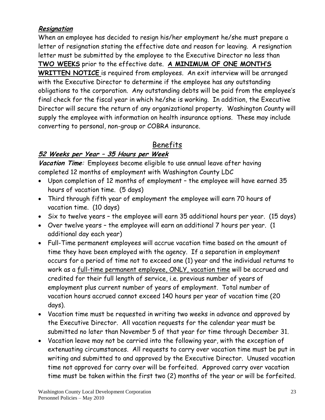### **Resignation**

When an employee has decided to resign his/her employment he/she must prepare a letter of resignation stating the effective date and reason for leaving. A resignation letter must be submitted by the employee to the Executive Director no less than **TWO WEEKS** prior to the effective date. **A MINIMUM OF ONE MONTH'S WRITTEN NOTICE** is required from employees. An exit interview will be arranged with the Executive Director to determine if the employee has any outstanding obligations to the corporation. Any outstanding debts will be paid from the employee's final check for the fiscal year in which he/she is working. In addition, the Executive Director will secure the return of any organizational property. Washington County will supply the employee with information on health insurance options. These may include converting to personal, non-group or COBRA insurance.

# Benefits

### **52 Weeks per Year – 35 Hours per Week**

**Vacation Time**: Employees become eligible to use annual leave after having completed 12 months of employment with Washington County LDC

- Upon completion of 12 months of employment the employee will have earned 35 hours of vacation time. (5 days)
- Third through fifth year of employment the employee will earn 70 hours of vacation time. (10 days)
- Six to twelve years the employee will earn 35 additional hours per year. (15 days)
- Over twelve years the employee will earn an additional 7 hours per year. (1 additional day each year)
- Full-Time permanent employees will accrue vacation time based on the amount of time they have been employed with the agency. If a separation in employment occurs for a period of time not to exceed one (1) year and the individual returns to work as a full-time permanent employee, ONLY, vacation time will be accrued and credited for their full length of service, i.e. previous number of years of employment plus current number of years of employment. Total number of vacation hours accrued cannot exceed 140 hours per year of vacation time (20 days).
- Vacation time must be requested in writing two weeks in advance and approved by the Executive Director. All vacation requests for the calendar year must be submitted no later than November 5 of that year for time through December 31.
- Vacation leave may not be carried into the following year, with the exception of extenuating circumstances. All requests to carry over vacation time must be put in writing and submitted to and approved by the Executive Director. Unused vacation time not approved for carry over will be forfeited. Approved carry over vacation time must be taken within the first two (2) months of the year or will be forfeited.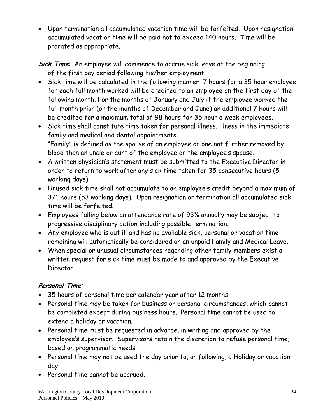- Upon termination all accumulated vacation time will be forfeited. Upon resignation accumulated vacation time will be paid not to exceed 140 hours. Time will be prorated as appropriate.
- **Sick Time**: An employee will commence to accrue sick leave at the beginning of the first pay period following his/her employment.
- Sick time will be calculated in the following manner: 7 hours for a 35 hour employee for each full month worked will be credited to an employee on the first day of the following month. For the months of January and July if the employee worked the full month prior (or the months of December and June) an additional 7 hours will be credited for a maximum total of 98 hours for 35 hour a week employees.
- Sick time shall constitute time taken for personal illness, illness in the immediate family and medical and dental appointments. "Family" is defined as the spouse of an employee or one not further removed by blood than an uncle or aunt of the employee or the employee's spouse.
- A written physician's statement must be submitted to the Executive Director in order to return to work after any sick time taken for 35 consecutive hours (5 working days).
- Unused sick time shall not accumulate to an employee's credit beyond a maximum of 371 hours (53 working days). Upon resignation or termination all accumulated sick time will be forfeited.
- Employees falling below an attendance rate of 93% annually may be subject to progressive disciplinary action including possible termination.
- Any employee who is out ill and has no available sick, personal or vacation time remaining will automatically be considered on an unpaid Family and Medical Leave.
- When special or unusual circumstances regarding other family members exist a written request for sick time must be made to and approved by the Executive Director.

### **Personal Time**:

- 35 hours of personal time per calendar year after 12 months.
- Personal time may be taken for business or personal circumstances, which cannot be completed except during business hours. Personal time cannot be used to extend a holiday or vacation.
- Personal time must be requested in advance, in writing and approved by the employee's supervisor. Supervisors retain the discretion to refuse personal time, based on programmatic needs.
- Personal time may not be used the day prior to, or following, a Holiday or vacation day.
- Personal time cannot be accrued.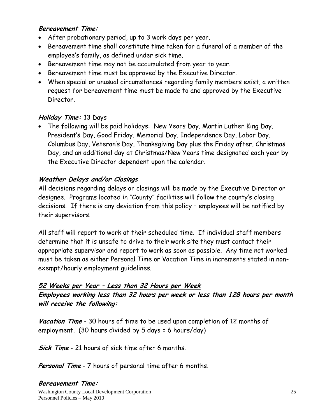#### **Bereavement Time:**

- After probationary period, up to 3 work days per year.
- Bereavement time shall constitute time taken for a funeral of a member of the employee's family, as defined under sick time.
- Bereavement time may not be accumulated from year to year.
- Bereavement time must be approved by the Executive Director.
- When special or unusual circumstances regarding family members exist, a written request for bereavement time must be made to and approved by the Executive Director.

#### **Holiday Time:** 13 Days

 The following will be paid holidays: New Years Day, Martin Luther King Day, President's Day, Good Friday, Memorial Day, Independence Day, Labor Day, Columbus Day, Veteran's Day, Thanksgiving Day plus the Friday after, Christmas Day, and an additional day at Christmas/New Years time designated each year by the Executive Director dependent upon the calendar.

### **Weather Delays and/or Closings**

All decisions regarding delays or closings will be made by the Executive Director or designee. Programs located in "County" facilities will follow the county's closing decisions. If there is any deviation from this policy – employees will be notified by their supervisors.

All staff will report to work at their scheduled time. If individual staff members determine that it is unsafe to drive to their work site they must contact their appropriate supervisor and report to work as soon as possible. Any time not worked must be taken as either Personal Time or Vacation Time in increments stated in nonexempt/hourly employment guidelines.

# **52 Weeks per Year – Less than 32 Hours per Week**

**Employees working less than 32 hours per week or less than 128 hours per month will receive the following:**

**Vacation Time** - 30 hours of time to be used upon completion of 12 months of employment. (30 hours divided by 5 days = 6 hours/day)

**Sick Time** - 21 hours of sick time after 6 months.

**Personal Time** - 7 hours of personal time after 6 months.

#### **Bereavement Time:**

Washington County Local Development Corporation Personnel Policies – May 2010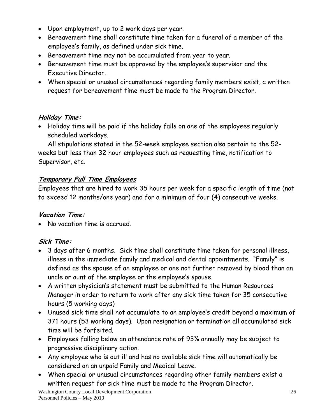- Upon employment, up to 2 work days per year.
- Bereavement time shall constitute time taken for a funeral of a member of the employee's family, as defined under sick time.
- Bereavement time may not be accumulated from year to year.
- Bereavement time must be approved by the employee's supervisor and the Executive Director.
- When special or unusual circumstances regarding family members exist, a written request for bereavement time must be made to the Program Director.

#### **Holiday Time:**

 Holiday time will be paid if the holiday falls on one of the employees regularly scheduled workdays.

All stipulations stated in the 52-week employee section also pertain to the 52 weeks but less than 32 hour employees such as requesting time, notification to Supervisor, etc.

### **Temporary Full Time Employees**

Employees that are hired to work 35 hours per week for a specific length of time (not to exceed 12 months/one year) and for a minimum of four (4) consecutive weeks.

#### **Vacation Time:**

No vacation time is accrued.

### **Sick Time:**

- 3 days after 6 months. Sick time shall constitute time taken for personal illness, illness in the immediate family and medical and dental appointments. "Family" is defined as the spouse of an employee or one not further removed by blood than an uncle or aunt of the employee or the employee's spouse.
- A written physician's statement must be submitted to the Human Resources Manager in order to return to work after any sick time taken for 35 consecutive hours (5 working days)
- Unused sick time shall not accumulate to an employee's credit beyond a maximum of 371 hours (53 working days). Upon resignation or termination all accumulated sick time will be forfeited.
- Employees falling below an attendance rate of 93% annually may be subject to progressive disciplinary action.
- Any employee who is out ill and has no available sick time will automatically be considered on an unpaid Family and Medical Leave.
- When special or unusual circumstances regarding other family members exist a written request for sick time must be made to the Program Director.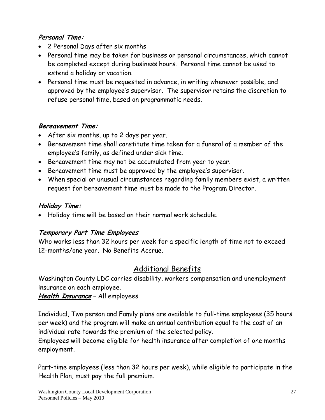### **Personal Time:**

- 2 Personal Days after six months
- Personal time may be taken for business or personal circumstances, which cannot be completed except during business hours. Personal time cannot be used to extend a holiday or vacation.
- Personal time must be requested in advance, in writing whenever possible, and approved by the employee's supervisor. The supervisor retains the discretion to refuse personal time, based on programmatic needs.

#### **Bereavement Time:**

- After six months, up to 2 days per year.
- Bereavement time shall constitute time taken for a funeral of a member of the employee's family, as defined under sick time.
- Bereavement time may not be accumulated from year to year.
- Bereavement time must be approved by the employee's supervisor.
- When special or unusual circumstances regarding family members exist, a written request for bereavement time must be made to the Program Director.

### **Holiday Time:**

Holiday time will be based on their normal work schedule.

### **Temporary Part Time Employees**

Who works less than 32 hours per week for a specific length of time not to exceed 12-months/one year. No Benefits Accrue.

# Additional Benefits

Washington County LDC carries disability, workers compensation and unemployment insurance on each employee.

### **Health Insurance** – All employees

Individual, Two person and Family plans are available to full-time employees (35 hours per week) and the program will make an annual contribution equal to the cost of an individual rate towards the premium of the selected policy.

Employees will become eligible for health insurance after completion of one months employment.

Part-time employees (less than 32 hours per week), while eligible to participate in the Health Plan, must pay the full premium.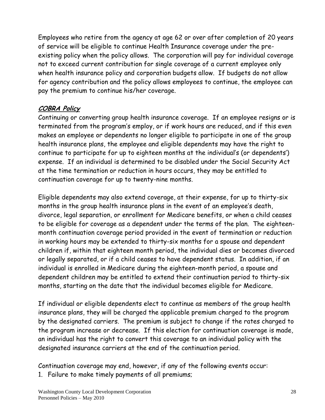Employees who retire from the agency at age 62 or over after completion of 20 years of service will be eligible to continue Health Insurance coverage under the preexisting policy when the policy allows. The corporation will pay for individual coverage not to exceed current contribution for single coverage of a current employee only when health insurance policy and corporation budgets allow. If budgets do not allow for agency contribution and the policy allows employees to continue, the employee can pay the premium to continue his/her coverage.

### **COBRA Policy**

Continuing or converting group health insurance coverage. If an employee resigns or is terminated from the program's employ, or if work hours are reduced, and if this even makes an employee or dependents no longer eligible to participate in one of the group health insurance plans, the employee and eligible dependents may have the right to continue to participate for up to eighteen months at the individual's (or dependents') expense. If an individual is determined to be disabled under the Social Security Act at the time termination or reduction in hours occurs, they may be entitled to continuation coverage for up to twenty-nine months.

Eligible dependents may also extend coverage, at their expense, for up to thirty-six months in the group health insurance plans in the event of an employee's death, divorce, legal separation, or enrollment for Medicare benefits, or when a child ceases to be eligible for coverage as a dependent under the terms of the plan. The eighteenmonth continuation coverage period provided in the event of termination or reduction in working hours may be extended to thirty-six months for a spouse and dependent children if, within that eighteen month period, the individual dies or becomes divorced or legally separated, or if a child ceases to have dependent status. In addition, if an individual is enrolled in Medicare during the eighteen-month period, a spouse and dependent children may be entitled to extend their continuation period to thirty-six months, starting on the date that the individual becomes eligible for Medicare.

If individual or eligible dependents elect to continue as members of the group health insurance plans, they will be charged the applicable premium charged to the program by the designated carriers. The premium is subject to change if the rates charged to the program increase or decrease. If this election for continuation coverage is made, an individual has the right to convert this coverage to an individual policy with the designated insurance carriers at the end of the continuation period.

Continuation coverage may end, however, if any of the following events occur: 1. Failure to make timely payments of all premiums;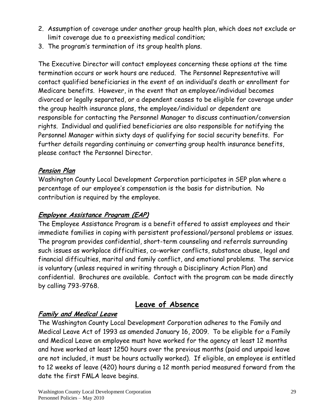- 2. Assumption of coverage under another group health plan, which does not exclude or limit coverage due to a preexisting medical condition;
- 3. The program's termination of its group health plans.

The Executive Director will contact employees concerning these options at the time termination occurs or work hours are reduced. The Personnel Representative will contact qualified beneficiaries in the event of an individual's death or enrollment for Medicare benefits. However, in the event that an employee/individual becomes divorced or legally separated, or a dependent ceases to be eligible for coverage under the group health insurance plans, the employee/individual or dependent are responsible for contacting the Personnel Manager to discuss continuation/conversion rights. Individual and qualified beneficiaries are also responsible for notifying the Personnel Manager within sixty days of qualifying for social security benefits. For further details regarding continuing or converting group health insurance benefits, please contact the Personnel Director.

### **Pension Plan**

Washington County Local Development Corporation participates in SEP plan where a percentage of our employee's compensation is the basis for distribution. No contribution is required by the employee.

### **Employee Assistance Program (EAP)**

The Employee Assistance Program is a benefit offered to assist employees and their immediate families in coping with persistent professional/personal problems or issues. The program provides confidential, short-term counseling and referrals surrounding such issues as workplace difficulties, co-worker conflicts, substance abuse, legal and financial difficulties, marital and family conflict, and emotional problems. The service is voluntary (unless required in writing through a Disciplinary Action Plan) and confidential. Brochures are available. Contact with the program can be made directly by calling 793-9768.

# **Leave of Absence**

### **Family and Medical Leave**

The Washington County Local Development Corporation adheres to the Family and Medical Leave Act of 1993 as amended January 16, 2009. To be eligible for a Family and Medical Leave an employee must have worked for the agency at least 12 months and have worked at least 1250 hours over the previous months (paid and unpaid leave are not included, it must be hours actually worked). If eligible, an employee is entitled to 12 weeks of leave (420) hours during a 12 month period measured forward from the date the first FMLA leave begins.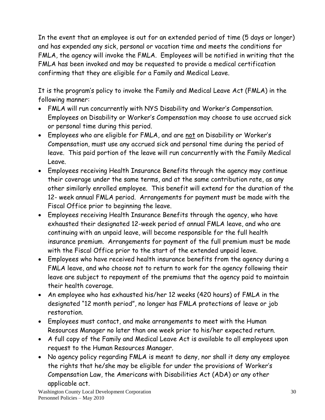In the event that an employee is out for an extended period of time (5 days or longer) and has expended any sick, personal or vacation time and meets the conditions for FMLA, the agency will invoke the FMLA. Employees will be notified in writing that the FMLA has been invoked and may be requested to provide a medical certification confirming that they are eligible for a Family and Medical Leave.

It is the program's policy to invoke the Family and Medical Leave Act (FMLA) in the following manner:

- FMLA will run concurrently with NYS Disability and Worker's Compensation. Employees on Disability or Worker's Compensation may choose to use accrued sick or personal time during this period.
- Employees who are eligible for FMLA, and are not on Disability or Worker's Compensation, must use any accrued sick and personal time during the period of leave. This paid portion of the leave will run concurrently with the Family Medical Leave.
- Employees receiving Health Insurance Benefits through the agency may continue their coverage under the same terms, and at the same contribution rate, as any other similarly enrolled employee. This benefit will extend for the duration of the 12- week annual FMLA period. Arrangements for payment must be made with the Fiscal Office prior to beginning the leave.
- Employees receiving Health Insurance Benefits through the agency, who have exhausted their designated 12-week period of annual FMLA leave, and who are continuing with an unpaid leave, will become responsible for the full health insurance premium. Arrangements for payment of the full premium must be made with the Fiscal Office prior to the start of the extended unpaid leave.
- Employees who have received health insurance benefits from the agency during a FMLA leave, and who choose not to return to work for the agency following their leave are subject to repayment of the premiums that the agency paid to maintain their health coverage.
- An employee who has exhausted his/her 12 weeks (420 hours) of FMLA in the designated "12 month period", no longer has FMLA protections of leave or job restoration.
- Employees must contact, and make arrangements to meet with the Human Resources Manager no later than one week prior to his/her expected return.
- A full copy of the Family and Medical Leave Act is available to all employees upon request to the Human Resources Manager.
- No agency policy regarding FMLA is meant to deny, nor shall it deny any employee the rights that he/she may be eligible for under the provisions of Worker's Compensation Law, the Americans with Disabilities Act (ADA) or any other applicable act.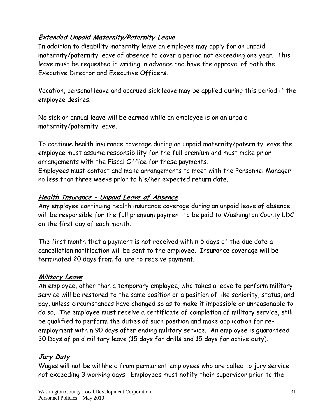### **Extended Unpaid Maternity/Paternity Leave**

In addition to disability maternity leave an employee may apply for an unpaid maternity/paternity leave of absence to cover a period not exceeding one year. This leave must be requested in writing in advance and have the approval of both the Executive Director and Executive Officers.

Vacation, personal leave and accrued sick leave may be applied during this period if the employee desires.

No sick or annual leave will be earned while an employee is on an unpaid maternity/paternity leave.

To continue health insurance coverage during an unpaid maternity/paternity leave the employee must assume responsibility for the full premium and must make prior arrangements with the Fiscal Office for these payments.

Employees must contact and make arrangements to meet with the Personnel Manager no less than three weeks prior to his/her expected return date.

### **Health Insurance – Unpaid Leave of Absence**

Any employee continuing health insurance coverage during an unpaid leave of absence will be responsible for the full premium payment to be paid to Washington County LDC on the first day of each month.

The first month that a payment is not received within 5 days of the due date a cancellation notification will be sent to the employee. Insurance coverage will be terminated 20 days from failure to receive payment.

#### **Military Leave**

An employee, other than a temporary employee, who takes a leave to perform military service will be restored to the same position or a position of like seniority, status, and pay, unless circumstances have changed so as to make it impossible or unreasonable to do so. The employee must receive a certificate of completion of military service, still be qualified to perform the duties of such position and make application for reemployment within 90 days after ending military service. An employee is guaranteed 30 Days of paid military leave (15 days for drills and 15 days for active duty).

### **Jury Duty**

Wages will not be withheld from permanent employees who are called to jury service not exceeding 3 working days. Employees must notify their supervisor prior to the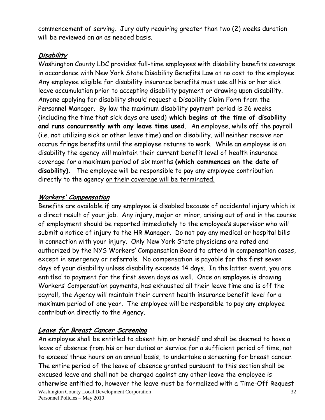commencement of serving. Jury duty requiring greater than two (2) weeks duration will be reviewed on an as needed basis.

### **Disability**

Washington County LDC provides full-time employees with disability benefits coverage in accordance with New York State Disability Benefits Law at no cost to the employee. Any employee eligible for disability insurance benefits must use all his or her sick leave accumulation prior to accepting disability payment or drawing upon disability. Anyone applying for disability should request a Disability Claim Form from the Personnel Manager. By law the maximum disability payment period is 26 weeks (including the time that sick days are used) **which begins at the time of disability and runs concurrently with any leave time used.** An employee, while off the payroll (i.e. not utilizing sick or other leave time) and on disability, will neither receive nor accrue fringe benefits until the employee returns to work. While an employee is on disability the agency will maintain their current benefit level of health insurance coverage for a maximum period of six months **(which commences on the date of disability).** The employee will be responsible to pay any employee contribution directly to the agency or their coverage will be terminated.

### **Workers' Compensation**

Benefits are available if any employee is disabled because of accidental injury which is a direct result of your job. Any injury, major or minor, arising out of and in the course of employment should be reported immediately to the employee's supervisor who will submit a notice of injury to the HR Manager. Do not pay any medical or hospital bills in connection with your injury. Only New York State physicians are rated and authorized by the NYS Workers' Compensation Board to attend in compensation cases, except in emergency or referrals. No compensation is payable for the first seven days of your disability unless disability exceeds 14 days. In the latter event, you are entitled to payment for the first seven days as well. Once an employee is drawing Workers' Compensation payments, has exhausted all their leave time and is off the payroll, the Agency will maintain their current health insurance benefit level for a maximum period of one year. The employee will be responsible to pay any employee contribution directly to the Agency.

# **Leave for Breast Cancer Screening**

Washington County Local Development Corporation Personnel Policies – May 2010 32 An employee shall be entitled to absent him or herself and shall be deemed to have a leave of absence from his or her duties or service for a sufficient period of time, not to exceed three hours on an annual basis, to undertake a screening for breast cancer. The entire period of the leave of absence granted pursuant to this section shall be excused leave and shall not be charged against any other leave the employee is otherwise entitled to, however the leave must be formalized with a Time-Off Request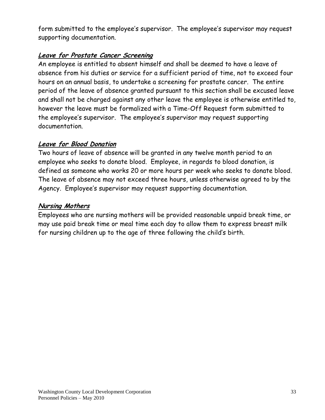form submitted to the employee's supervisor. The employee's supervisor may request supporting documentation.

### **Leave for Prostate Cancer Screening**

An employee is entitled to absent himself and shall be deemed to have a leave of absence from his duties or service for a sufficient period of time, not to exceed four hours on an annual basis, to undertake a screening for prostate cancer. The entire period of the leave of absence granted pursuant to this section shall be excused leave and shall not be charged against any other leave the employee is otherwise entitled to, however the leave must be formalized with a Time-Off Request form submitted to the employee's supervisor. The employee's supervisor may request supporting documentation.

### **Leave for Blood Donation**

Two hours of leave of absence will be granted in any twelve month period to an employee who seeks to donate blood. Employee, in regards to blood donation, is defined as someone who works 20 or more hours per week who seeks to donate blood. The leave of absence may not exceed three hours, unless otherwise agreed to by the Agency. Employee's supervisor may request supporting documentation.

#### **Nursing Mothers**

Employees who are nursing mothers will be provided reasonable unpaid break time, or may use paid break time or meal time each day to allow them to express breast milk for nursing children up to the age of three following the child's birth.